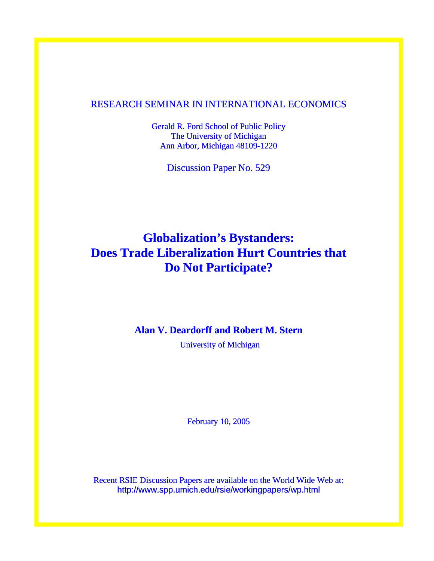## RESEARCH SEMINAR IN INTERNATIONAL ECONOMICS

Gerald R. Ford School of Public Policy The University of Michigan Ann Arbor, Michigan 48109-1220

Discussion Paper No. 529

# **Globalization's Bystanders: Does Trade Liberalization Hurt Countries that Do Not Participate?**

# **Alan V. Deardorff and Robert M. Stern**

University of Michigan

February 10, 2005

Recent RSIE Discussion Papers are available on the World Wide Web at: http://www.spp.umich.edu/rsie/workingpapers/wp.html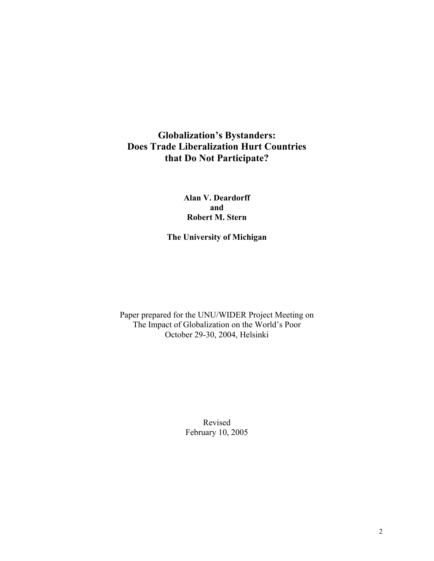# **Globalization's Bystanders: Does Trade Liberalization Hurt Countries that Do Not Participate?**

**Alan V. Deardorff and Robert M. Stern** 

**The University of Michigan** 

Paper prepared for the UNU/WIDER Project Meeting on The Impact of Globalization on the World's Poor October 29-30, 2004, Helsinki

> Revised February 10, 2005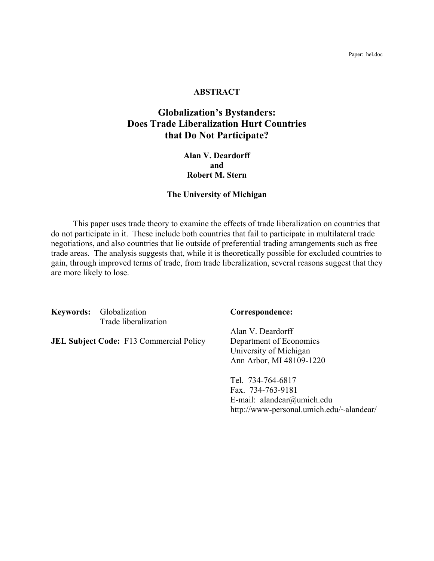Paper: hel.doc

### **ABSTRACT**

# **Globalization's Bystanders: Does Trade Liberalization Hurt Countries that Do Not Participate?**

### **Alan V. Deardorff and Robert M. Stern**

### **The University of Michigan**

 This paper uses trade theory to examine the effects of trade liberalization on countries that do not participate in it. These include both countries that fail to participate in multilateral trade negotiations, and also countries that lie outside of preferential trading arrangements such as free trade areas. The analysis suggests that, while it is theoretically possible for excluded countries to gain, through improved terms of trade, from trade liberalization, several reasons suggest that they are more likely to lose.

**Keywords:** Globalization **Correspondence:** Trade liberalization

**JEL Subject Code:** F13 Commercial Policy Department of Economics

Alan V. Deardorff University of Michigan Ann Arbor, MI 48109-1220

Tel. 734-764-6817 Fax. 734-763-9181 E-mail: alandear@umich.edu http://www-personal.umich.edu/~alandear/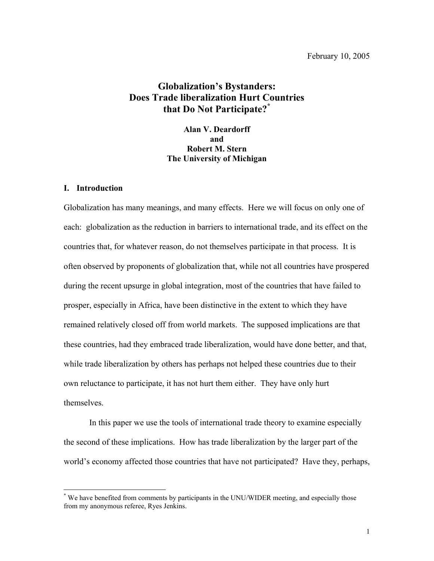# **Globalization's Bystanders: Does Trade liberalization Hurt Countries that Do Not Participate?[\\*](#page-3-0)**

**Alan V. Deardorff and Robert M. Stern The University of Michigan** 

### **I. Introduction**

1

Globalization has many meanings, and many effects. Here we will focus on only one of each: globalization as the reduction in barriers to international trade, and its effect on the countries that, for whatever reason, do not themselves participate in that process. It is often observed by proponents of globalization that, while not all countries have prospered during the recent upsurge in global integration, most of the countries that have failed to prosper, especially in Africa, have been distinctive in the extent to which they have remained relatively closed off from world markets. The supposed implications are that these countries, had they embraced trade liberalization, would have done better, and that, while trade liberalization by others has perhaps not helped these countries due to their own reluctance to participate, it has not hurt them either. They have only hurt themselves.

In this paper we use the tools of international trade theory to examine especially the second of these implications. How has trade liberalization by the larger part of the world's economy affected those countries that have not participated? Have they, perhaps,

<span id="page-3-0"></span><sup>\*</sup> We have benefited from comments by participants in the UNU/WIDER meeting, and especially those from my anonymous referee, Ryes Jenkins.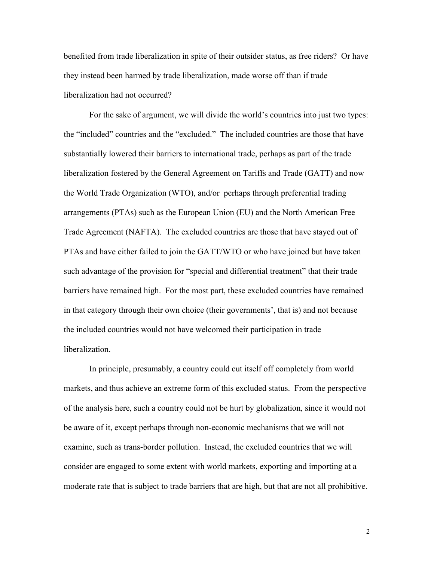benefited from trade liberalization in spite of their outsider status, as free riders? Or have they instead been harmed by trade liberalization, made worse off than if trade liberalization had not occurred?

For the sake of argument, we will divide the world's countries into just two types: the "included" countries and the "excluded." The included countries are those that have substantially lowered their barriers to international trade, perhaps as part of the trade liberalization fostered by the General Agreement on Tariffs and Trade (GATT) and now the World Trade Organization (WTO), and/or perhaps through preferential trading arrangements (PTAs) such as the European Union (EU) and the North American Free Trade Agreement (NAFTA). The excluded countries are those that have stayed out of PTAs and have either failed to join the GATT/WTO or who have joined but have taken such advantage of the provision for "special and differential treatment" that their trade barriers have remained high. For the most part, these excluded countries have remained in that category through their own choice (their governments', that is) and not because the included countries would not have welcomed their participation in trade liberalization.

In principle, presumably, a country could cut itself off completely from world markets, and thus achieve an extreme form of this excluded status. From the perspective of the analysis here, such a country could not be hurt by globalization, since it would not be aware of it, except perhaps through non-economic mechanisms that we will not examine, such as trans-border pollution. Instead, the excluded countries that we will consider are engaged to some extent with world markets, exporting and importing at a moderate rate that is subject to trade barriers that are high, but that are not all prohibitive.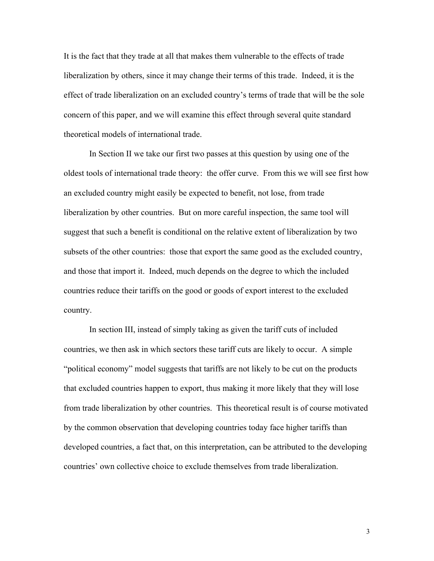It is the fact that they trade at all that makes them vulnerable to the effects of trade liberalization by others, since it may change their terms of this trade. Indeed, it is the effect of trade liberalization on an excluded country's terms of trade that will be the sole concern of this paper, and we will examine this effect through several quite standard theoretical models of international trade.

In Section II we take our first two passes at this question by using one of the oldest tools of international trade theory: the offer curve. From this we will see first how an excluded country might easily be expected to benefit, not lose, from trade liberalization by other countries. But on more careful inspection, the same tool will suggest that such a benefit is conditional on the relative extent of liberalization by two subsets of the other countries: those that export the same good as the excluded country, and those that import it. Indeed, much depends on the degree to which the included countries reduce their tariffs on the good or goods of export interest to the excluded country.

In section III, instead of simply taking as given the tariff cuts of included countries, we then ask in which sectors these tariff cuts are likely to occur. A simple "political economy" model suggests that tariffs are not likely to be cut on the products that excluded countries happen to export, thus making it more likely that they will lose from trade liberalization by other countries. This theoretical result is of course motivated by the common observation that developing countries today face higher tariffs than developed countries, a fact that, on this interpretation, can be attributed to the developing countries' own collective choice to exclude themselves from trade liberalization.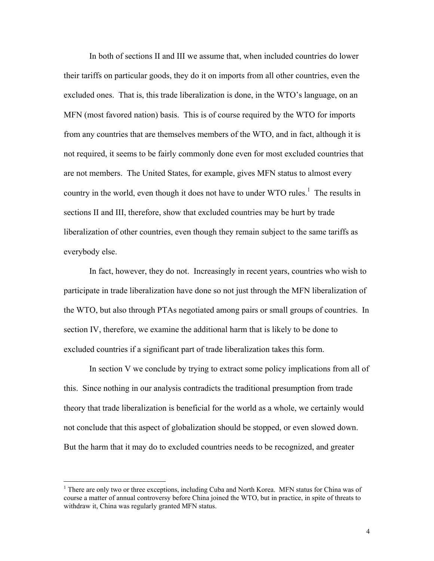In both of sections II and III we assume that, when included countries do lower their tariffs on particular goods, they do it on imports from all other countries, even the excluded ones. That is, this trade liberalization is done, in the WTO's language, on an MFN (most favored nation) basis. This is of course required by the WTO for imports from any countries that are themselves members of the WTO, and in fact, although it is not required, it seems to be fairly commonly done even for most excluded countries that are not members. The United States, for example, gives MFN status to almost every country in the world, even though it does not have to under  $WTO$  rules.<sup>[1](#page-6-0)</sup> The results in sections II and III, therefore, show that excluded countries may be hurt by trade liberalization of other countries, even though they remain subject to the same tariffs as everybody else.

In fact, however, they do not. Increasingly in recent years, countries who wish to participate in trade liberalization have done so not just through the MFN liberalization of the WTO, but also through PTAs negotiated among pairs or small groups of countries. In section IV, therefore, we examine the additional harm that is likely to be done to excluded countries if a significant part of trade liberalization takes this form.

In section V we conclude by trying to extract some policy implications from all of this. Since nothing in our analysis contradicts the traditional presumption from trade theory that trade liberalization is beneficial for the world as a whole, we certainly would not conclude that this aspect of globalization should be stopped, or even slowed down. But the harm that it may do to excluded countries needs to be recognized, and greater

 $\overline{a}$ 

<span id="page-6-0"></span><sup>&</sup>lt;sup>1</sup> There are only two or three exceptions, including Cuba and North Korea. MFN status for China was of course a matter of annual controversy before China joined the WTO, but in practice, in spite of threats to withdraw it, China was regularly granted MFN status.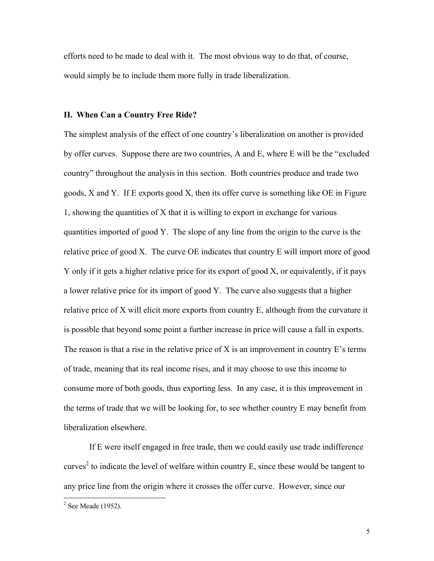efforts need to be made to deal with it. The most obvious way to do that, of course, would simply be to include them more fully in trade liberalization.

### **II. When Can a Country Free Ride?**

The simplest analysis of the effect of one country's liberalization on another is provided by offer curves. Suppose there are two countries, A and E, where E will be the "excluded country" throughout the analysis in this section. Both countries produce and trade two goods, X and Y. If E exports good X, then its offer curve is something like OE in Figure 1, showing the quantities of X that it is willing to export in exchange for various quantities imported of good Y. The slope of any line from the origin to the curve is the relative price of good X. The curve OE indicates that country E will import more of good Y only if it gets a higher relative price for its export of good X, or equivalently, if it pays a lower relative price for its import of good Y. The curve also suggests that a higher relative price of X will elicit more exports from country E, although from the curvature it is possible that beyond some point a further increase in price will cause a fall in exports. The reason is that a rise in the relative price of  $X$  is an improvement in country  $E$ 's terms of trade, meaning that its real income rises, and it may choose to use this income to consume more of both goods, thus exporting less. In any case, it is this improvement in the terms of trade that we will be looking for, to see whether country E may benefit from liberalization elsewhere.

If E were itself engaged in free trade, then we could easily use trade indifference curves<sup>[2](#page-7-0)</sup> to indicate the level of welfare within country E, since these would be tangent to any price line from the origin where it crosses the offer curve. However, since our

<span id="page-7-0"></span><sup>&</sup>lt;sup>2</sup> See Meade (1952).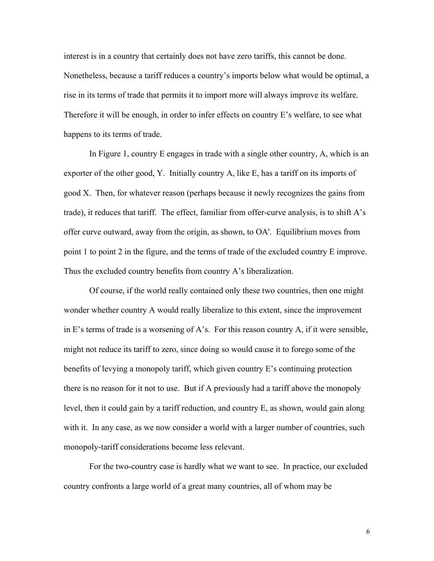interest is in a country that certainly does not have zero tariffs, this cannot be done. Nonetheless, because a tariff reduces a country's imports below what would be optimal, a rise in its terms of trade that permits it to import more will always improve its welfare. Therefore it will be enough, in order to infer effects on country E's welfare, to see what happens to its terms of trade.

In Figure 1, country E engages in trade with a single other country, A, which is an exporter of the other good, Y. Initially country A, like E, has a tariff on its imports of good X. Then, for whatever reason (perhaps because it newly recognizes the gains from trade), it reduces that tariff. The effect, familiar from offer-curve analysis, is to shift A's offer curve outward, away from the origin, as shown, to OA'. Equilibrium moves from point 1 to point 2 in the figure, and the terms of trade of the excluded country E improve. Thus the excluded country benefits from country A's liberalization.

Of course, if the world really contained only these two countries, then one might wonder whether country A would really liberalize to this extent, since the improvement in E's terms of trade is a worsening of A's. For this reason country A, if it were sensible, might not reduce its tariff to zero, since doing so would cause it to forego some of the benefits of levying a monopoly tariff, which given country E's continuing protection there is no reason for it not to use. But if A previously had a tariff above the monopoly level, then it could gain by a tariff reduction, and country E, as shown, would gain along with it. In any case, as we now consider a world with a larger number of countries, such monopoly-tariff considerations become less relevant.

For the two-country case is hardly what we want to see. In practice, our excluded country confronts a large world of a great many countries, all of whom may be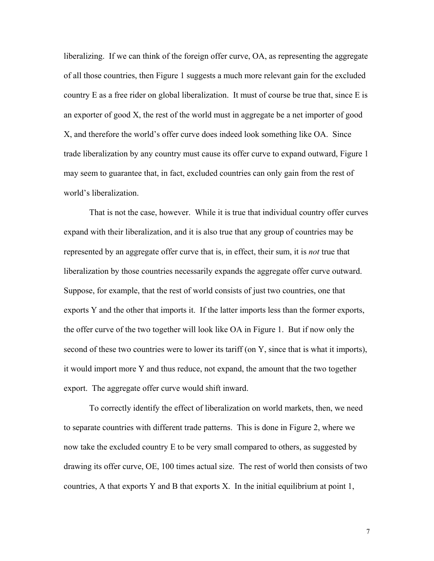liberalizing. If we can think of the foreign offer curve, OA, as representing the aggregate of all those countries, then Figure 1 suggests a much more relevant gain for the excluded country E as a free rider on global liberalization. It must of course be true that, since E is an exporter of good X, the rest of the world must in aggregate be a net importer of good X, and therefore the world's offer curve does indeed look something like OA. Since trade liberalization by any country must cause its offer curve to expand outward, Figure 1 may seem to guarantee that, in fact, excluded countries can only gain from the rest of world's liberalization.

That is not the case, however. While it is true that individual country offer curves expand with their liberalization, and it is also true that any group of countries may be represented by an aggregate offer curve that is, in effect, their sum, it is *not* true that liberalization by those countries necessarily expands the aggregate offer curve outward. Suppose, for example, that the rest of world consists of just two countries, one that exports Y and the other that imports it. If the latter imports less than the former exports, the offer curve of the two together will look like OA in Figure 1. But if now only the second of these two countries were to lower its tariff (on Y, since that is what it imports), it would import more Y and thus reduce, not expand, the amount that the two together export. The aggregate offer curve would shift inward.

To correctly identify the effect of liberalization on world markets, then, we need to separate countries with different trade patterns. This is done in Figure 2, where we now take the excluded country E to be very small compared to others, as suggested by drawing its offer curve, OE, 100 times actual size. The rest of world then consists of two countries, A that exports Y and B that exports X. In the initial equilibrium at point 1,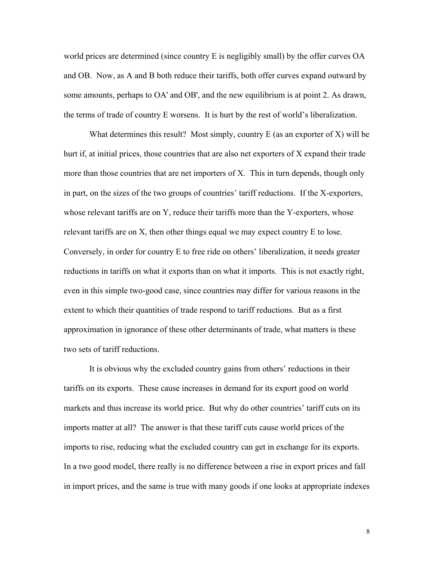world prices are determined (since country E is negligibly small) by the offer curves OA and OB. Now, as A and B both reduce their tariffs, both offer curves expand outward by some amounts, perhaps to OA' and OB', and the new equilibrium is at point 2. As drawn, the terms of trade of country E worsens. It is hurt by the rest of world's liberalization.

What determines this result? Most simply, country  $E$  (as an exporter of  $X$ ) will be hurt if, at initial prices, those countries that are also net exporters of X expand their trade more than those countries that are net importers of X. This in turn depends, though only in part, on the sizes of the two groups of countries' tariff reductions. If the X-exporters, whose relevant tariffs are on Y, reduce their tariffs more than the Y-exporters, whose relevant tariffs are on X, then other things equal we may expect country E to lose. Conversely, in order for country E to free ride on others' liberalization, it needs greater reductions in tariffs on what it exports than on what it imports. This is not exactly right, even in this simple two-good case, since countries may differ for various reasons in the extent to which their quantities of trade respond to tariff reductions. But as a first approximation in ignorance of these other determinants of trade, what matters is these two sets of tariff reductions.

It is obvious why the excluded country gains from others' reductions in their tariffs on its exports. These cause increases in demand for its export good on world markets and thus increase its world price. But why do other countries' tariff cuts on its imports matter at all? The answer is that these tariff cuts cause world prices of the imports to rise, reducing what the excluded country can get in exchange for its exports. In a two good model, there really is no difference between a rise in export prices and fall in import prices, and the same is true with many goods if one looks at appropriate indexes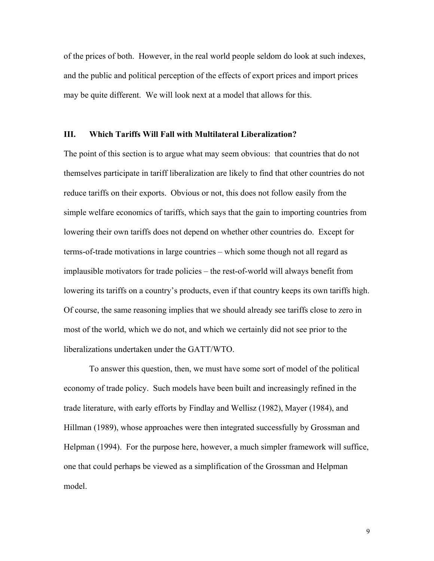of the prices of both. However, in the real world people seldom do look at such indexes, and the public and political perception of the effects of export prices and import prices may be quite different. We will look next at a model that allows for this.

### **III. Which Tariffs Will Fall with Multilateral Liberalization?**

The point of this section is to argue what may seem obvious: that countries that do not themselves participate in tariff liberalization are likely to find that other countries do not reduce tariffs on their exports. Obvious or not, this does not follow easily from the simple welfare economics of tariffs, which says that the gain to importing countries from lowering their own tariffs does not depend on whether other countries do. Except for terms-of-trade motivations in large countries – which some though not all regard as implausible motivators for trade policies – the rest-of-world will always benefit from lowering its tariffs on a country's products, even if that country keeps its own tariffs high. Of course, the same reasoning implies that we should already see tariffs close to zero in most of the world, which we do not, and which we certainly did not see prior to the liberalizations undertaken under the GATT/WTO.

To answer this question, then, we must have some sort of model of the political economy of trade policy. Such models have been built and increasingly refined in the trade literature, with early efforts by Findlay and Wellisz (1982), Mayer (1984), and Hillman (1989), whose approaches were then integrated successfully by Grossman and Helpman (1994). For the purpose here, however, a much simpler framework will suffice, one that could perhaps be viewed as a simplification of the Grossman and Helpman model.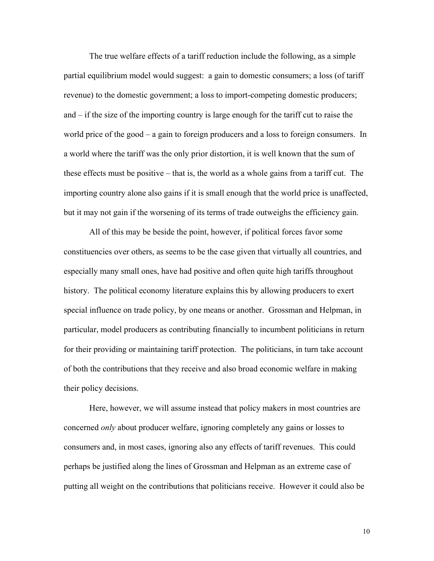The true welfare effects of a tariff reduction include the following, as a simple partial equilibrium model would suggest: a gain to domestic consumers; a loss (of tariff revenue) to the domestic government; a loss to import-competing domestic producers; and – if the size of the importing country is large enough for the tariff cut to raise the world price of the good – a gain to foreign producers and a loss to foreign consumers. In a world where the tariff was the only prior distortion, it is well known that the sum of these effects must be positive – that is, the world as a whole gains from a tariff cut. The importing country alone also gains if it is small enough that the world price is unaffected, but it may not gain if the worsening of its terms of trade outweighs the efficiency gain.

All of this may be beside the point, however, if political forces favor some constituencies over others, as seems to be the case given that virtually all countries, and especially many small ones, have had positive and often quite high tariffs throughout history. The political economy literature explains this by allowing producers to exert special influence on trade policy, by one means or another. Grossman and Helpman, in particular, model producers as contributing financially to incumbent politicians in return for their providing or maintaining tariff protection. The politicians, in turn take account of both the contributions that they receive and also broad economic welfare in making their policy decisions.

Here, however, we will assume instead that policy makers in most countries are concerned *only* about producer welfare, ignoring completely any gains or losses to consumers and, in most cases, ignoring also any effects of tariff revenues. This could perhaps be justified along the lines of Grossman and Helpman as an extreme case of putting all weight on the contributions that politicians receive. However it could also be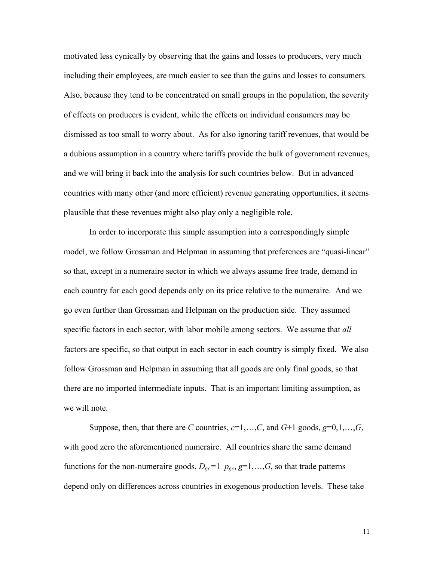motivated less cynically by observing that the gains and losses to producers, very much including their employees, are much easier to see than the gains and losses to consumers. Also, because they tend to be concentrated on small groups in the population, the severity of effects on producers is evident, while the effects on individual consumers may be dismissed as too small to worry about. As for also ignoring tariff revenues, that would be a dubious assumption in a country where tariffs provide the bulk of government revenues, and we will bring it back into the analysis for such countries below. But in advanced countries with many other (and more efficient) revenue generating opportunities, it seems plausible that these revenues might also play only a negligible role.

In order to incorporate this simple assumption into a correspondingly simple model, we follow Grossman and Helpman in assuming that preferences are "quasi-linear" so that, except in a numeraire sector in which we always assume free trade, demand in each country for each good depends only on its price relative to the numeraire. And we go even further than Grossman and Helpman on the production side. They assumed specific factors in each sector, with labor mobile among sectors. We assume that *all* factors are specific, so that output in each sector in each country is simply fixed. We also follow Grossman and Helpman in assuming that all goods are only final goods, so that there are no imported intermediate inputs. That is an important limiting assumption, as we will note.

Suppose, then, that there are *C* countries,  $c=1,\ldots,C$ , and  $G+1$  goods,  $g=0,1,\ldots,G$ , with good zero the aforementioned numeraire. All countries share the same demand functions for the non-numeraire goods,  $D_{gc}=1-p_{gc}$ ,  $g=1,...,G$ , so that trade patterns depend only on differences across countries in exogenous production levels. These take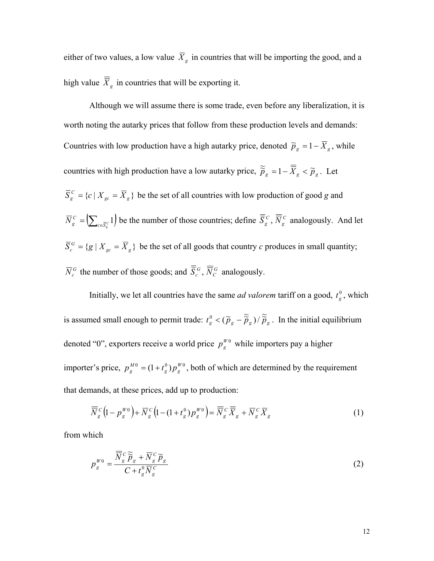either of two values, a low value  $\overline{X}_g$  in countries that will be importing the good, and a high value  $\overline{\overline{X}}_g$  in countries that will be exporting it.

Although we will assume there is some trade, even before any liberalization, it is worth noting the autarky prices that follow from these production levels and demands: Countries with low production have a high autarky price, denoted  $\tilde{p}_g = 1 - \overline{X}_g$ , while countries with high production have a low autarky price,  $\tilde{\tilde{p}}_g = 1 - \overline{\overline{X}}_g < \tilde{p}_g$ . Let  ${\overline{S}}_g^c = \{c \mid X_{gc} = {\overline{X}}_g\}$  be the set of all countries with low production of good *g* and  $(\overline{N}_g^C) = \left(\sum_{c \in \overline{S}_g^C} 1\right)$  be the number of those countries; define  $(\overline{S}_g^C, \overline{N}_g^C)$  analogously. And let  $\overline{S}_{c}^{G} = \{ g \mid X_{gc} = \overline{X}_{g} \}$  be the set of all goods that country *c* produces in small quantity;  $\overline{N}_c^G$  the number of those goods; and  $\overline{S}_c^G$ ,  $\overline{N}_c^G$  analogously.

Initially, we let all countries have the same *ad valorem* tariff on a good,  $t_g^0$ , which is assumed small enough to permit trade:  $t_g^0 < (\widetilde{p}_g - \widetilde{\widetilde{p}}_g)/\widetilde{\widetilde{p}}_g$ . In the initial equilibrium denoted "0", exporters receive a world price  $p_g^{\psi_0}$  while importers pay a higher importer's price,  $p_g^{M0} = (1 + t_g^0)p_g^{W0}$ , both of which are determined by the requirement that demands, at these prices, add up to production:  $p_g^{M0} = (1 + t_g^0)p$ 

$$
\overline{\overline{N}}_g^C \left(1 - p_g^{W0}\right) + \overline{N}_g^C \left(1 - \left(1 + t_g^0\right) p_g^{W0}\right) = \overline{\overline{N}}_g^C \overline{\overline{X}}_g + \overline{N}_g^C \overline{X}_g \tag{1}
$$

from which

$$
p_{g}^{W0} = \frac{\overline{\overline{N}}_{g}^{C} \widetilde{\widetilde{p}}_{g} + \overline{N}_{g}^{C} \widetilde{p}_{g}}{C + t_{g}^{0} \overline{N}_{g}^{C}}
$$
(2)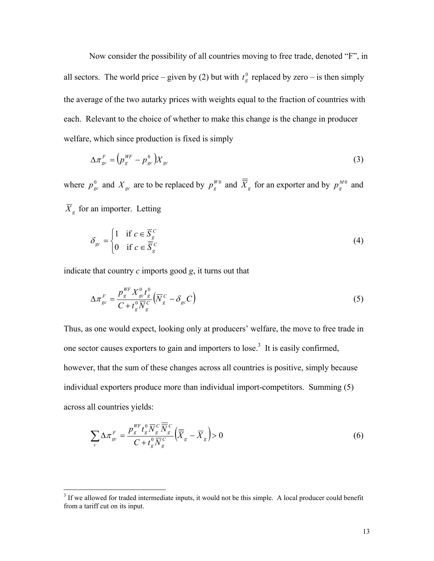Now consider the possibility of all countries moving to free trade, denoted "F", in all sectors. The world price – given by (2) but with  $t<sub>e</sub><sup>0</sup>$  replaced by zero – is then simply the average of the two autarky prices with weights equal to the fraction of countries with each. Relevant to the choice of whether to make this change is the change in producer welfare, which since production is fixed is simply *g*

$$
\Delta \pi_{gc}^{F} = \left( p_{g}^{WF} - p_{gc}^{0} \right) X_{gc} \tag{3}
$$

where  $p_{gc}^{0}$  and  $X_{gc}$  are to be replaced by  $p_{g}^{W0}$  and  $\overline{X}_{g}$  for an exporter and by  $p_{g}^{M0}$  and  $\overline{X}_g$  for an importer. Letting

$$
\delta_{gc} = \begin{cases} 1 & \text{if } c \in \overline{S}_g^C \\ 0 & \text{if } c \in \overline{\overline{S}}_g^C \end{cases}
$$
 (4)

indicate that country *c* imports good *g*, it turns out that

$$
\Delta \pi_{gc}^{F} = \frac{p_{g}^{WF} X_{gc}^{0} t_{g}^{0}}{C + t_{g}^{0} \overline{N}_{g}^{C}} \left( \overline{N}_{g}^{C} - \delta_{gc} C \right)
$$
\n
$$
\tag{5}
$$

Thus, as one would expect, looking only at producers' welfare, the move to free trade in one sector causes exporters to gain and importers to lose.<sup>3</sup> It is easily confirmed, however, that the sum of these changes across all countries is positive, simply because individual exporters produce more than individual import-competitors. Summing (5) across all countries yields:

$$
\sum_{c} \Delta \pi_{gc}^{F} = \frac{p_{g}^{WF} t_{g}^{0} \overline{N}_{g}^{C} \overline{\overline{N}}_{g}^{C}}{C + t_{g}^{0} \overline{N}_{g}^{C}} \left( \overline{\overline{X}}_{g} - \overline{X}_{g} \right) > 0
$$
\n(6)

<span id="page-15-0"></span> <sup>3</sup> <sup>3</sup> If we allowed for traded intermediate inputs, it would not be this simple. A local producer could benefit from a tariff cut on its input.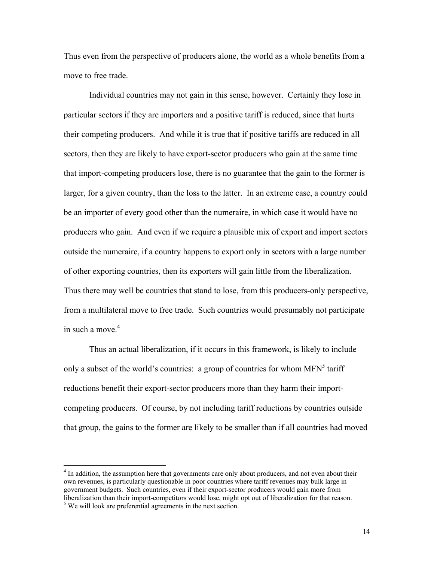Thus even from the perspective of producers alone, the world as a whole benefits from a move to free trade.

Individual countries may not gain in this sense, however. Certainly they lose in particular sectors if they are importers and a positive tariff is reduced, since that hurts their competing producers. And while it is true that if positive tariffs are reduced in all sectors, then they are likely to have export-sector producers who gain at the same time that import-competing producers lose, there is no guarantee that the gain to the former is larger, for a given country, than the loss to the latter. In an extreme case, a country could be an importer of every good other than the numeraire, in which case it would have no producers who gain. And even if we require a plausible mix of export and import sectors outside the numeraire, if a country happens to export only in sectors with a large number of other exporting countries, then its exporters will gain little from the liberalization. Thus there may well be countries that stand to lose, from this producers-only perspective, from a multilateral move to free trade. Such countries would presumably not participate in such a move  $4$ 

Thus an actual liberalization, if it occurs in this framework, is likely to include only a subset of the world's countries: a group of countries for whom  $MFN<sup>5</sup>$  $MFN<sup>5</sup>$  $MFN<sup>5</sup>$  tariff reductions benefit their export-sector producers more than they harm their importcompeting producers. Of course, by not including tariff reductions by countries outside that group, the gains to the former are likely to be smaller than if all countries had moved

<span id="page-16-1"></span><span id="page-16-0"></span> $\frac{1}{4}$ <sup>4</sup> In addition, the assumption here that governments care only about producers, and not even about their own revenues, is particularly questionable in poor countries where tariff revenues may bulk large in government budgets. Such countries, even if their export-sector producers would gain more from liberalization than their import-competitors would lose, might opt out of liberalization for that reason. 5  $5$  We will look are preferential agreements in the next section.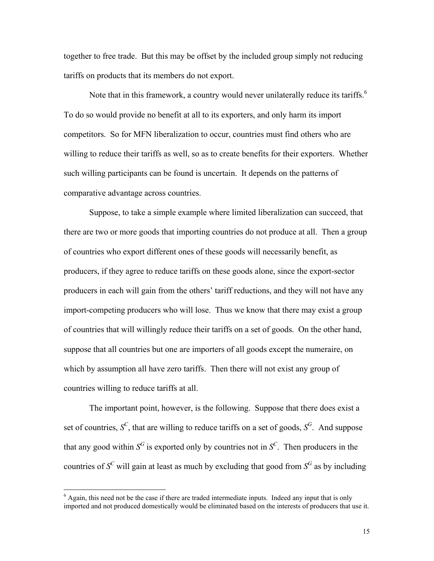together to free trade. But this may be offset by the included group simply not reducing tariffs on products that its members do not export.

Note that in this framework, a country would never unilaterally reduce its tariffs.<sup>[6](#page-17-0)</sup> To do so would provide no benefit at all to its exporters, and only harm its import competitors. So for MFN liberalization to occur, countries must find others who are willing to reduce their tariffs as well, so as to create benefits for their exporters. Whether such willing participants can be found is uncertain. It depends on the patterns of comparative advantage across countries.

Suppose, to take a simple example where limited liberalization can succeed, that there are two or more goods that importing countries do not produce at all. Then a group of countries who export different ones of these goods will necessarily benefit, as producers, if they agree to reduce tariffs on these goods alone, since the export-sector producers in each will gain from the others' tariff reductions, and they will not have any import-competing producers who will lose. Thus we know that there may exist a group of countries that will willingly reduce their tariffs on a set of goods. On the other hand, suppose that all countries but one are importers of all goods except the numeraire, on which by assumption all have zero tariffs. Then there will not exist any group of countries willing to reduce tariffs at all.

The important point, however, is the following. Suppose that there does exist a set of countries,  $S^C$ , that are willing to reduce tariffs on a set of goods,  $S^G$ . And suppose that any good within  $S^G$  is exported only by countries not in  $S^C$ . Then producers in the countries of  $S^C$  will gain at least as much by excluding that good from  $S^G$  as by including

<span id="page-17-0"></span> $\frac{1}{6}$ <sup>6</sup> Again, this need not be the case if there are traded intermediate inputs. Indeed any input that is only imported and not produced domestically would be eliminated based on the interests of producers that use it.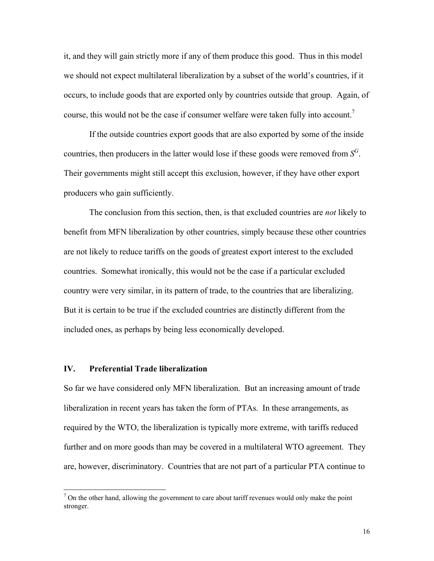it, and they will gain strictly more if any of them produce this good. Thus in this model we should not expect multilateral liberalization by a subset of the world's countries, if it occurs, to include goods that are exported only by countries outside that group. Again, of course, this would not be the case if consumer welfare were taken fully into account.<sup>[7](#page-18-0)</sup>

If the outside countries export goods that are also exported by some of the inside countries, then producers in the latter would lose if these goods were removed from *S<sup>G</sup>*. Their governments might still accept this exclusion, however, if they have other export producers who gain sufficiently.

The conclusion from this section, then, is that excluded countries are *not* likely to benefit from MFN liberalization by other countries, simply because these other countries are not likely to reduce tariffs on the goods of greatest export interest to the excluded countries. Somewhat ironically, this would not be the case if a particular excluded country were very similar, in its pattern of trade, to the countries that are liberalizing. But it is certain to be true if the excluded countries are distinctly different from the included ones, as perhaps by being less economically developed.

### **IV. Preferential Trade liberalization**

So far we have considered only MFN liberalization. But an increasing amount of trade liberalization in recent years has taken the form of PTAs. In these arrangements, as required by the WTO, the liberalization is typically more extreme, with tariffs reduced further and on more goods than may be covered in a multilateral WTO agreement. They are, however, discriminatory. Countries that are not part of a particular PTA continue to

<span id="page-18-0"></span> $\frac{1}{7}$  $\alpha$ <sup>7</sup> On the other hand, allowing the government to care about tariff revenues would only make the point stronger.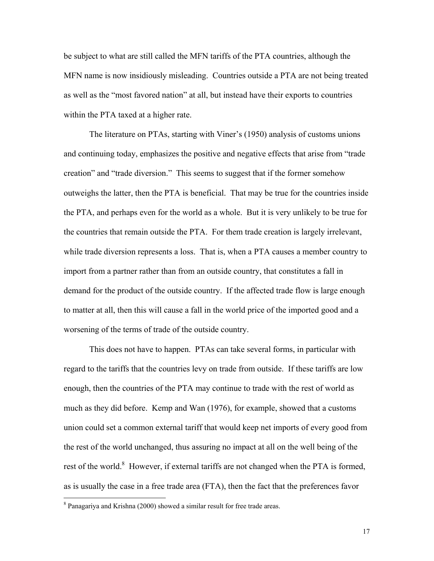be subject to what are still called the MFN tariffs of the PTA countries, although the MFN name is now insidiously misleading. Countries outside a PTA are not being treated as well as the "most favored nation" at all, but instead have their exports to countries within the PTA taxed at a higher rate.

The literature on PTAs, starting with Viner's (1950) analysis of customs unions and continuing today, emphasizes the positive and negative effects that arise from "trade creation" and "trade diversion." This seems to suggest that if the former somehow outweighs the latter, then the PTA is beneficial. That may be true for the countries inside the PTA, and perhaps even for the world as a whole. But it is very unlikely to be true for the countries that remain outside the PTA. For them trade creation is largely irrelevant, while trade diversion represents a loss. That is, when a PTA causes a member country to import from a partner rather than from an outside country, that constitutes a fall in demand for the product of the outside country. If the affected trade flow is large enough to matter at all, then this will cause a fall in the world price of the imported good and a worsening of the terms of trade of the outside country.

This does not have to happen. PTAs can take several forms, in particular with regard to the tariffs that the countries levy on trade from outside. If these tariffs are low enough, then the countries of the PTA may continue to trade with the rest of world as much as they did before. Kemp and Wan (1976), for example, showed that a customs union could set a common external tariff that would keep net imports of every good from the rest of the world unchanged, thus assuring no impact at all on the well being of the rest of the world.<sup>8</sup> However, if external tariffs are not changed when the PTA is formed, as is usually the case in a free trade area (FTA), then the fact that the preferences favor

<span id="page-19-0"></span> $\frac{1}{8}$ Panagariya and Krishna (2000) showed a similar result for free trade areas.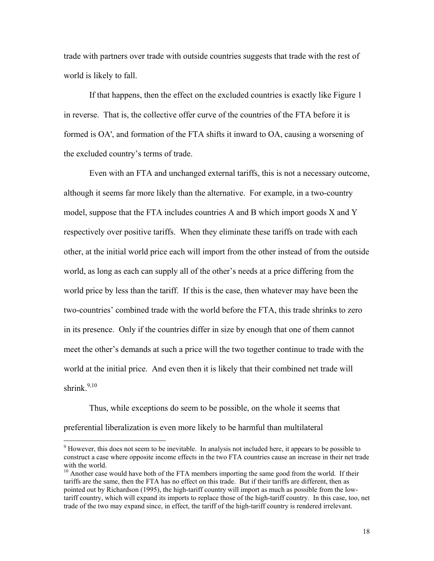trade with partners over trade with outside countries suggests that trade with the rest of world is likely to fall.

If that happens, then the effect on the excluded countries is exactly like Figure 1 in reverse. That is, the collective offer curve of the countries of the FTA before it is formed is OA', and formation of the FTA shifts it inward to OA, causing a worsening of the excluded country's terms of trade.

Even with an FTA and unchanged external tariffs, this is not a necessary outcome, although it seems far more likely than the alternative. For example, in a two-country model, suppose that the FTA includes countries A and B which import goods X and Y respectively over positive tariffs. When they eliminate these tariffs on trade with each other, at the initial world price each will import from the other instead of from the outside world, as long as each can supply all of the other's needs at a price differing from the world price by less than the tariff. If this is the case, then whatever may have been the two-countries' combined trade with the world before the FTA, this trade shrinks to zero in its presence. Only if the countries differ in size by enough that one of them cannot meet the other's demands at such a price will the two together continue to trade with the world at the initial price. And even then it is likely that their combined net trade will shrink $^{9,10}$ 

Thus, while exceptions do seem to be possible, on the whole it seems that preferential liberalization is even more likely to be harmful than multilateral

<span id="page-20-0"></span><sup>-&</sup>lt;br>9 <sup>9</sup> However, this does not seem to be inevitable. In analysis not included here, it appears to be possible to construct a case where opposite income effects in the two FTA countries cause an increase in their net trade with the world.<br><sup>10</sup> Another case would have both of the FTA members importing the same good from the world. If their

<span id="page-20-1"></span>tariffs are the same, then the FTA has no effect on this trade. But if their tariffs are different, then as pointed out by Richardson (1995), the high-tariff country will import as much as possible from the lowtariff country, which will expand its imports to replace those of the high-tariff country. In this case, too, net trade of the two may expand since, in effect, the tariff of the high-tariff country is rendered irrelevant.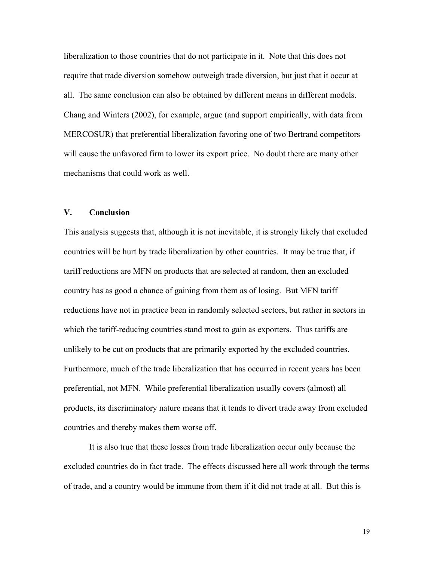liberalization to those countries that do not participate in it. Note that this does not require that trade diversion somehow outweigh trade diversion, but just that it occur at all. The same conclusion can also be obtained by different means in different models. Chang and Winters (2002), for example, argue (and support empirically, with data from MERCOSUR) that preferential liberalization favoring one of two Bertrand competitors will cause the unfavored firm to lower its export price. No doubt there are many other mechanisms that could work as well.

### **V. Conclusion**

This analysis suggests that, although it is not inevitable, it is strongly likely that excluded countries will be hurt by trade liberalization by other countries. It may be true that, if tariff reductions are MFN on products that are selected at random, then an excluded country has as good a chance of gaining from them as of losing. But MFN tariff reductions have not in practice been in randomly selected sectors, but rather in sectors in which the tariff-reducing countries stand most to gain as exporters. Thus tariffs are unlikely to be cut on products that are primarily exported by the excluded countries. Furthermore, much of the trade liberalization that has occurred in recent years has been preferential, not MFN. While preferential liberalization usually covers (almost) all products, its discriminatory nature means that it tends to divert trade away from excluded countries and thereby makes them worse off.

It is also true that these losses from trade liberalization occur only because the excluded countries do in fact trade. The effects discussed here all work through the terms of trade, and a country would be immune from them if it did not trade at all. But this is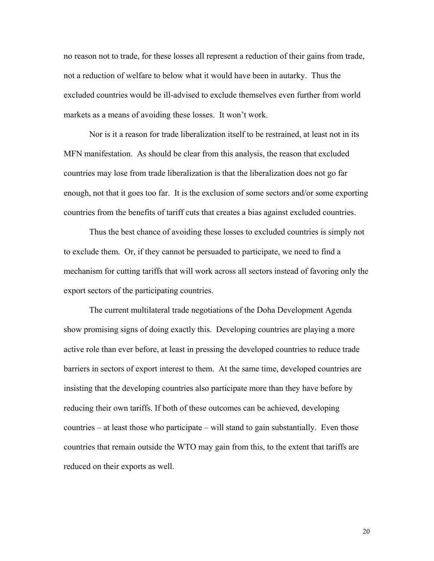no reason not to trade, for these losses all represent a reduction of their gains from trade, not a reduction of welfare to below what it would have been in autarky. Thus the excluded countries would be ill-advised to exclude themselves even further from world markets as a means of avoiding these losses. It won't work.

Nor is it a reason for trade liberalization itself to be restrained, at least not in its MFN manifestation. As should be clear from this analysis, the reason that excluded countries may lose from trade liberalization is that the liberalization does not go far enough, not that it goes too far. It is the exclusion of some sectors and/or some exporting countries from the benefits of tariff cuts that creates a bias against excluded countries.

Thus the best chance of avoiding these losses to excluded countries is simply not to exclude them. Or, if they cannot be persuaded to participate, we need to find a mechanism for cutting tariffs that will work across all sectors instead of favoring only the export sectors of the participating countries.

The current multilateral trade negotiations of the Doha Development Agenda show promising signs of doing exactly this. Developing countries are playing a more active role than ever before, at least in pressing the developed countries to reduce trade barriers in sectors of export interest to them. At the same time, developed countries are insisting that the developing countries also participate more than they have before by reducing their own tariffs. If both of these outcomes can be achieved, developing countries – at least those who participate – will stand to gain substantially. Even those countries that remain outside the WTO may gain from this, to the extent that tariffs are reduced on their exports as well.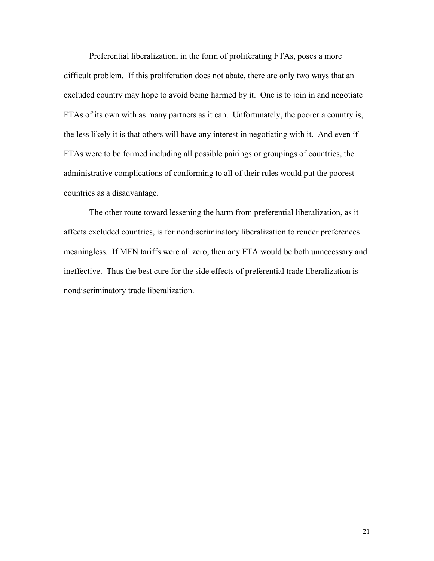Preferential liberalization, in the form of proliferating FTAs, poses a more difficult problem. If this proliferation does not abate, there are only two ways that an excluded country may hope to avoid being harmed by it. One is to join in and negotiate FTAs of its own with as many partners as it can. Unfortunately, the poorer a country is, the less likely it is that others will have any interest in negotiating with it. And even if FTAs were to be formed including all possible pairings or groupings of countries, the administrative complications of conforming to all of their rules would put the poorest countries as a disadvantage.

The other route toward lessening the harm from preferential liberalization, as it affects excluded countries, is for nondiscriminatory liberalization to render preferences meaningless. If MFN tariffs were all zero, then any FTA would be both unnecessary and ineffective. Thus the best cure for the side effects of preferential trade liberalization is nondiscriminatory trade liberalization.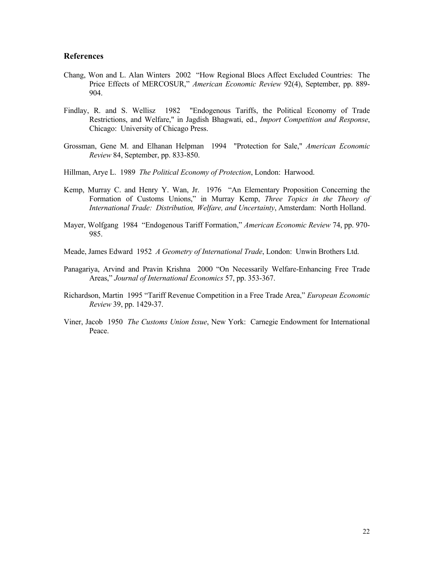### **References**

- Chang, Won and L. Alan Winters 2002 "How Regional Blocs Affect Excluded Countries: The Price Effects of MERCOSUR," *American Economic Review* 92(4), September, pp. 889- 904.
- Findlay, R. and S. Wellisz 1982 "Endogenous Tariffs, the Political Economy of Trade Restrictions, and Welfare," in Jagdish Bhagwati, ed., *Import Competition and Response*, Chicago: University of Chicago Press.
- Grossman, Gene M. and Elhanan Helpman 1994 "Protection for Sale," *American Economic Review* 84, September, pp. 833-850.
- Hillman, Arye L. 1989 *The Political Economy of Protection*, London: Harwood.
- Kemp, Murray C. and Henry Y. Wan, Jr. 1976 "An Elementary Proposition Concerning the Formation of Customs Unions," in Murray Kemp, *Three Topics in the Theory of International Trade: Distribution, Welfare, and Uncertainty*, Amsterdam: North Holland.
- Mayer, Wolfgang 1984 "Endogenous Tariff Formation," *American Economic Review* 74, pp. 970- 985.
- Meade, James Edward 1952 *A Geometry of International Trade*, London: Unwin Brothers Ltd.
- Panagariya, Arvind and Pravin Krishna 2000 "On Necessarily Welfare-Enhancing Free Trade Areas," *Journal of International Economics* 57, pp. 353-367.
- Richardson, Martin 1995 "Tariff Revenue Competition in a Free Trade Area," *European Economic Review* 39, pp. 1429-37.
- Viner, Jacob 1950 *The Customs Union Issue*, New York: Carnegie Endowment for International Peace.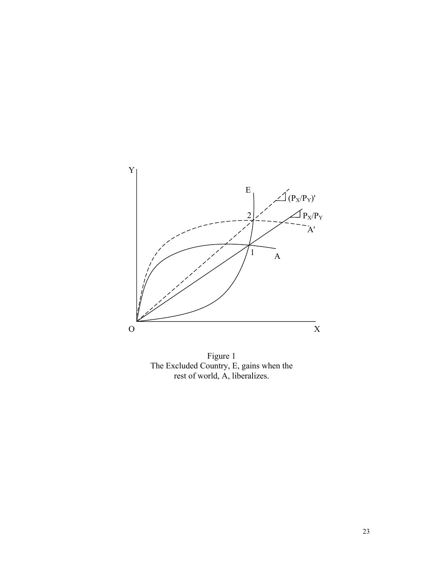

Figure 1 The Excluded Country, E, gains when the rest of world, A, liberalizes.